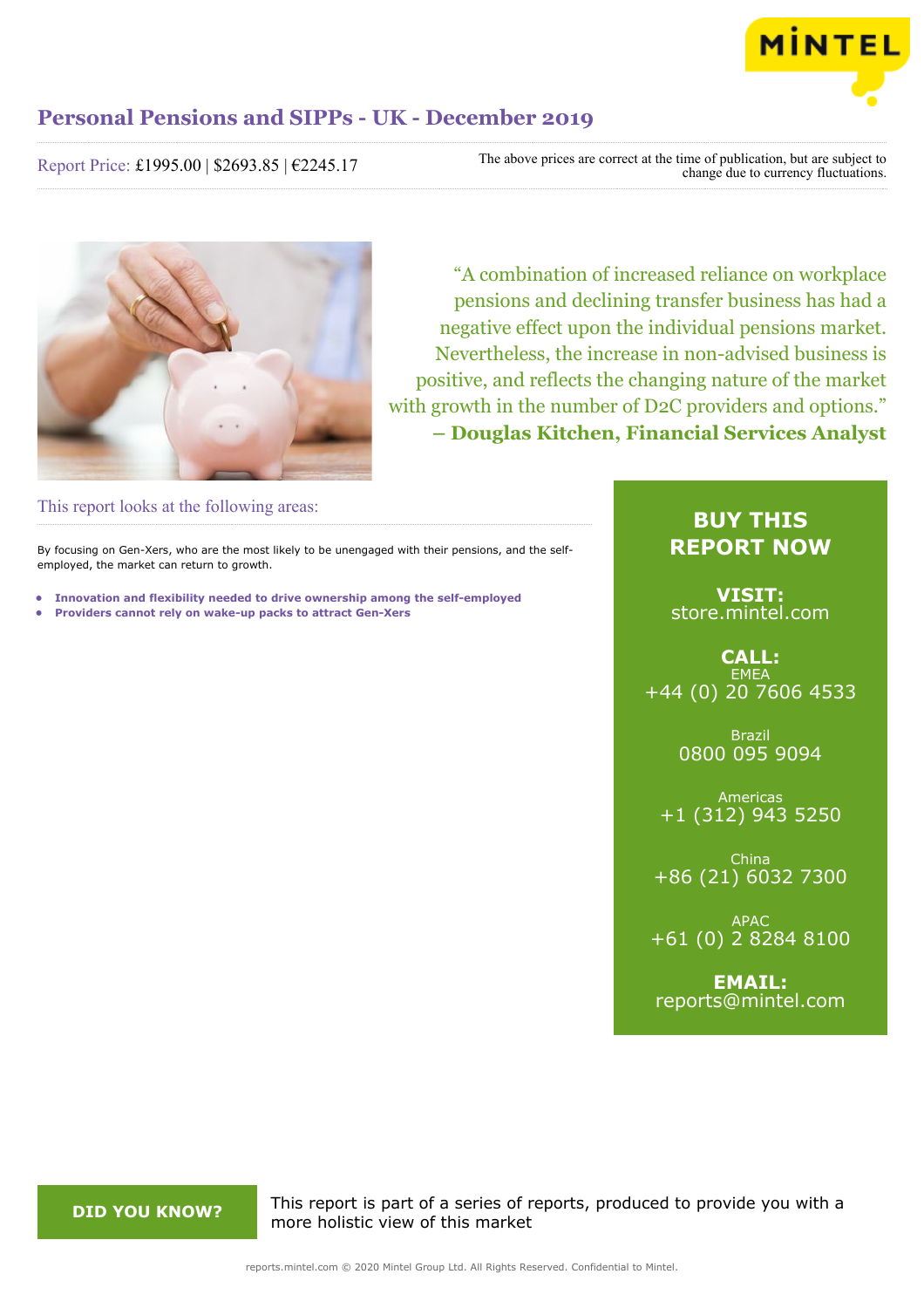

Report Price: £1995.00 | \$2693.85 | €2245.17

The above prices are correct at the time of publication, but are subject to change due to currency fluctuations.



"A combination of increased reliance on workplace pensions and declining transfer business has had a negative effect upon the individual pensions market. Nevertheless, the increase in non-advised business is positive, and reflects the changing nature of the market with growth in the number of D2C providers and options." **– Douglas Kitchen, Financial Services Analyst**

This report looks at the following areas:

By focusing on Gen-Xers, who are the most likely to be unengaged with their pensions, and the selfemployed, the market can return to growth.

- **• Innovation and flexibility needed to drive ownership among the self-employed**
- **• Providers cannot rely on wake-up packs to attract Gen-Xers**

# **BUY THIS REPORT NOW**

**VISIT:** [store.mintel.com](/reports.mintel.com//display/store/921354/)

**CALL: EMEA** +44 (0) 20 7606 4533

> Brazil 0800 095 9094

Americas +1 (312) 943 5250

China +86 (21) 6032 7300

APAC +61 (0) 2 8284 8100

**EMAIL:** [reports@mintel.com](mailto:reports@mintel.com)

**DID YOU KNOW?** This report is part of a series of reports, produced to provide you with a more holistic view of this market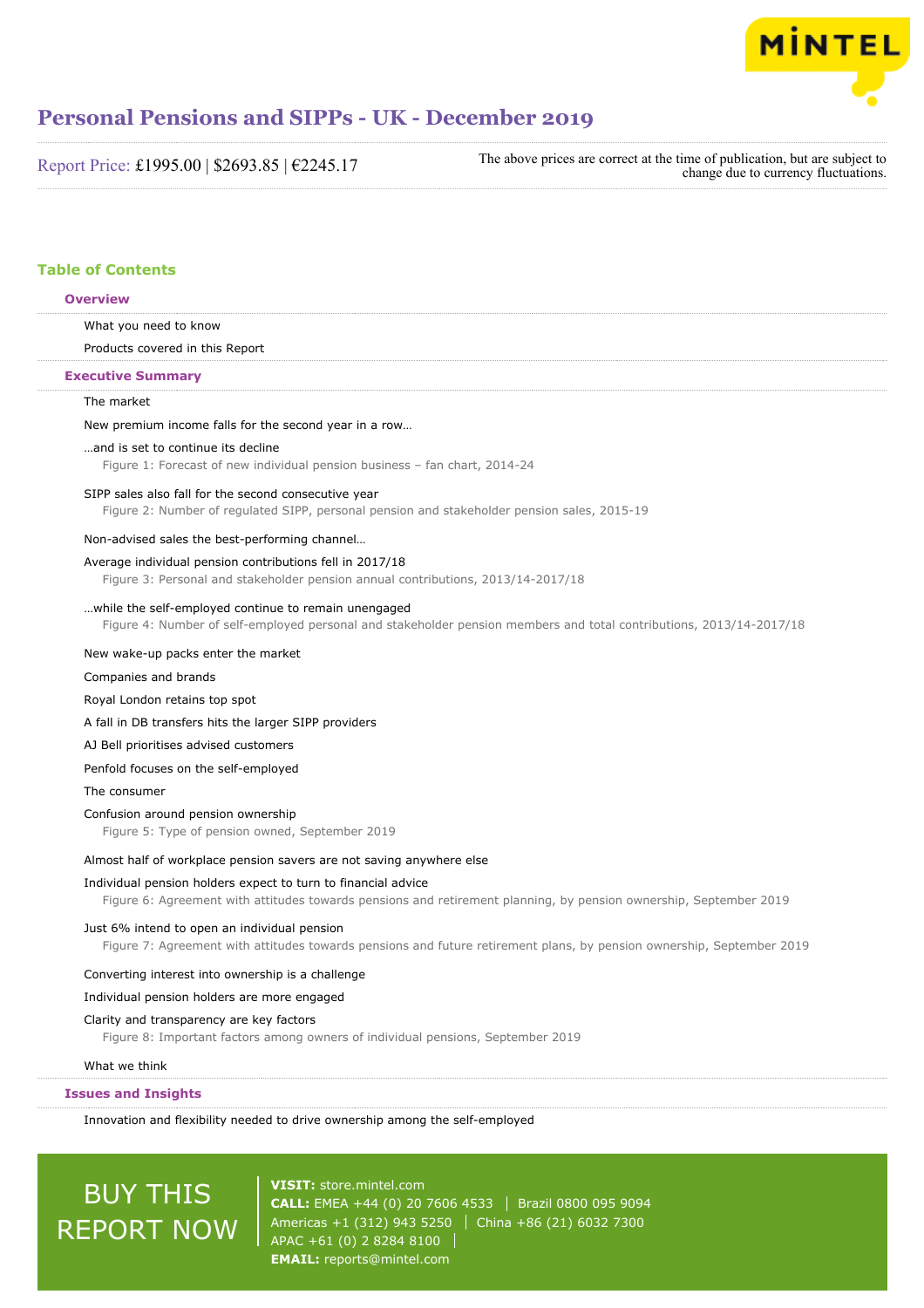

| Report Price: £1995.00   \$2693.85   €2245.17 |  |
|-----------------------------------------------|--|
|-----------------------------------------------|--|

The above prices are correct at the time of publication, but are subject to change due to currency fluctuations.

# **Table of Contents**

# **Overview**

What you need to know

Products covered in this Report

#### **Executive Summary**

# The market

New premium income falls for the second year in a row…

# …and is set to continue its decline

Figure 1: Forecast of new individual pension business – fan chart, 2014-24

#### SIPP sales also fall for the second consecutive year

Figure 2: Number of regulated SIPP, personal pension and stakeholder pension sales, 2015-19

# Non-advised sales the best-performing channel…

# Average individual pension contributions fell in 2017/18

Figure 3: Personal and stakeholder pension annual contributions, 2013/14-2017/18

#### …while the self-employed continue to remain unengaged

Figure 4: Number of self-employed personal and stakeholder pension members and total contributions, 2013/14-2017/18

# New wake-up packs enter the market

Companies and brands

## Royal London retains top spot

A fall in DB transfers hits the larger SIPP providers

# AJ Bell prioritises advised customers

Penfold focuses on the self-employed

# The consumer

# Confusion around pension ownership

Figure 5: Type of pension owned, September 2019

# Almost half of workplace pension savers are not saving anywhere else

#### Individual pension holders expect to turn to financial advice

Figure 6: Agreement with attitudes towards pensions and retirement planning, by pension ownership, September 2019

# Just 6% intend to open an individual pension

Figure 7: Agreement with attitudes towards pensions and future retirement plans, by pension ownership, September 2019

# Converting interest into ownership is a challenge

# Individual pension holders are more engaged

### Clarity and transparency are key factors

Figure 8: Important factors among owners of individual pensions, September 2019

#### What we think

# **Issues and Insights**

Innovation and flexibility needed to drive ownership among the self-employed

# BUY THIS REPORT NOW

**VISIT:** [store.mintel.com](/reports.mintel.com//display/store/921354/) **CALL:** EMEA +44 (0) 20 7606 4533 Brazil 0800 095 9094 Americas +1 (312) 943 5250 | China +86 (21) 6032 7300 APAC +61 (0) 2 8284 8100 **EMAIL:** [reports@mintel.com](mailto:reports@mintel.com)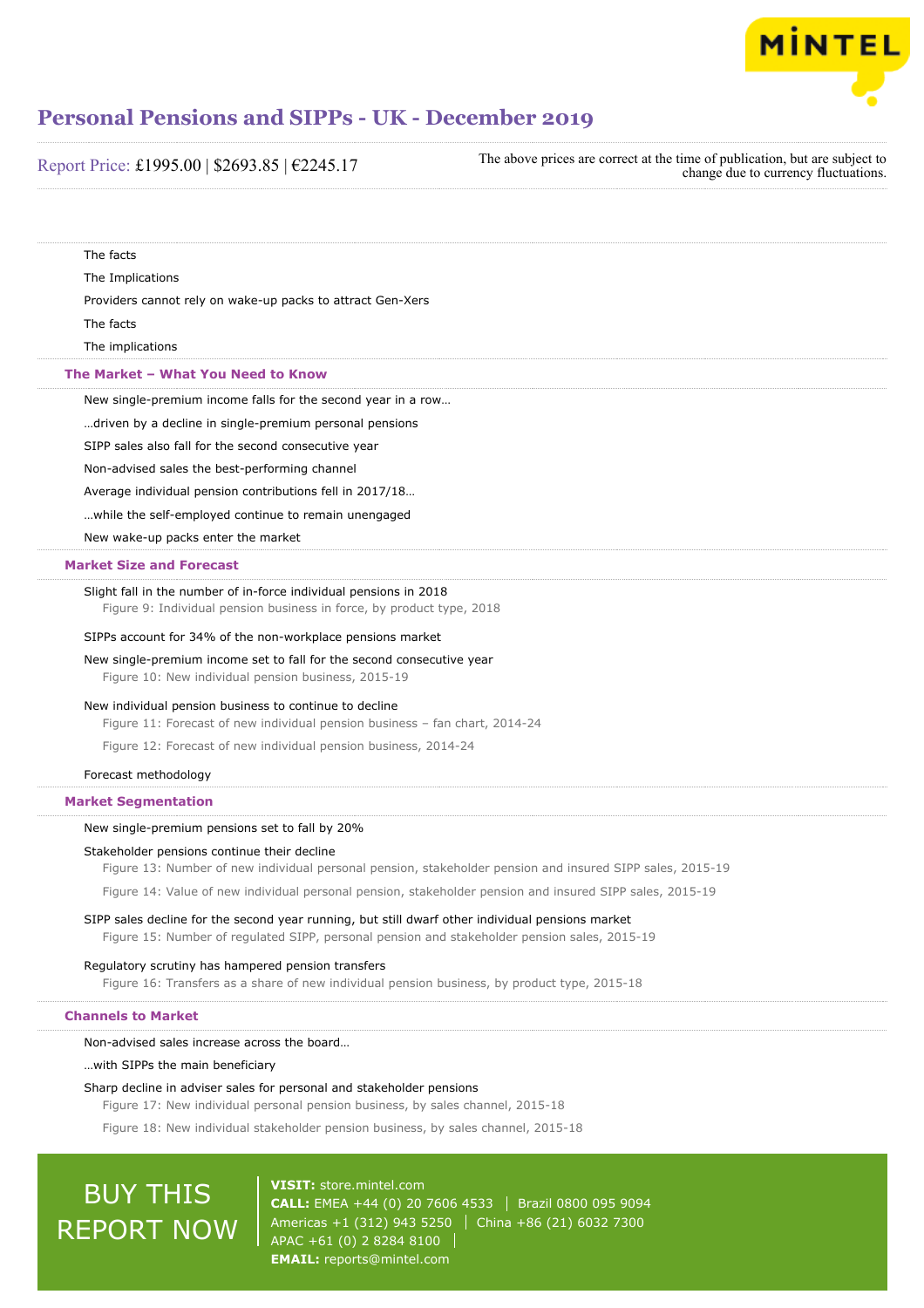

Report Price: £1995.00 | \$2693.85 | €2245.17

The above prices are correct at the time of publication, but are subject to change due to currency fluctuations.

| The facts                                                                                                                                                                                        |
|--------------------------------------------------------------------------------------------------------------------------------------------------------------------------------------------------|
| The Implications                                                                                                                                                                                 |
| Providers cannot rely on wake-up packs to attract Gen-Xers                                                                                                                                       |
| The facts                                                                                                                                                                                        |
| The implications                                                                                                                                                                                 |
| The Market - What You Need to Know                                                                                                                                                               |
| New single-premium income falls for the second year in a row                                                                                                                                     |
| driven by a decline in single-premium personal pensions                                                                                                                                          |
| SIPP sales also fall for the second consecutive year                                                                                                                                             |
| Non-advised sales the best-performing channel                                                                                                                                                    |
| Average individual pension contributions fell in 2017/18                                                                                                                                         |
| while the self-employed continue to remain unengaged                                                                                                                                             |
| New wake-up packs enter the market                                                                                                                                                               |
| <b>Market Size and Forecast</b>                                                                                                                                                                  |
| Slight fall in the number of in-force individual pensions in 2018<br>Figure 9: Individual pension business in force, by product type, 2018                                                       |
| SIPPs account for 34% of the non-workplace pensions market                                                                                                                                       |
| New single-premium income set to fall for the second consecutive year<br>Figure 10: New individual pension business, 2015-19                                                                     |
| New individual pension business to continue to decline<br>Figure 11: Forecast of new individual pension business - fan chart, 2014-24                                                            |
| Figure 12: Forecast of new individual pension business, 2014-24                                                                                                                                  |
| Forecast methodology                                                                                                                                                                             |
| <b>Market Segmentation</b>                                                                                                                                                                       |
| New single-premium pensions set to fall by 20%                                                                                                                                                   |
| Stakeholder pensions continue their decline                                                                                                                                                      |
| Figure 13: Number of new individual personal pension, stakeholder pension and insured SIPP sales, 2015-19                                                                                        |
| Figure 14: Value of new individual personal pension, stakeholder pension and insured SIPP sales, 2015-19                                                                                         |
| SIPP sales decline for the second year running, but still dwarf other individual pensions market<br>Figure 15: Number of regulated SIPP, personal pension and stakeholder pension sales, 2015-19 |
| Regulatory scrutiny has hampered pension transfers<br>Figure 16: Transfers as a share of new individual pension business, by product type, 2015-18                                               |
| <b>Channels to Market</b>                                                                                                                                                                        |
| Non-advised sales increase across the board                                                                                                                                                      |
| with SIPPs the main beneficiary                                                                                                                                                                  |
| Sharp decline in adviser sales for personal and stakeholder pensions<br>Figure 17: New individual personal pension business, by sales channel, 2015-18                                           |
| Figure 18: New individual stakeholder pension business, by sales channel, 2015-18                                                                                                                |

# BUY THIS REPORT NOW

**VISIT:** [store.mintel.com](/reports.mintel.com//display/store/921354/) **CALL:** EMEA +44 (0) 20 7606 4533 | Brazil 0800 095 9094 Americas +1 (312) 943 5250 China +86 (21) 6032 7300 APAC +61 (0) 2 8284 8100 **EMAIL:** [reports@mintel.com](mailto:reports@mintel.com)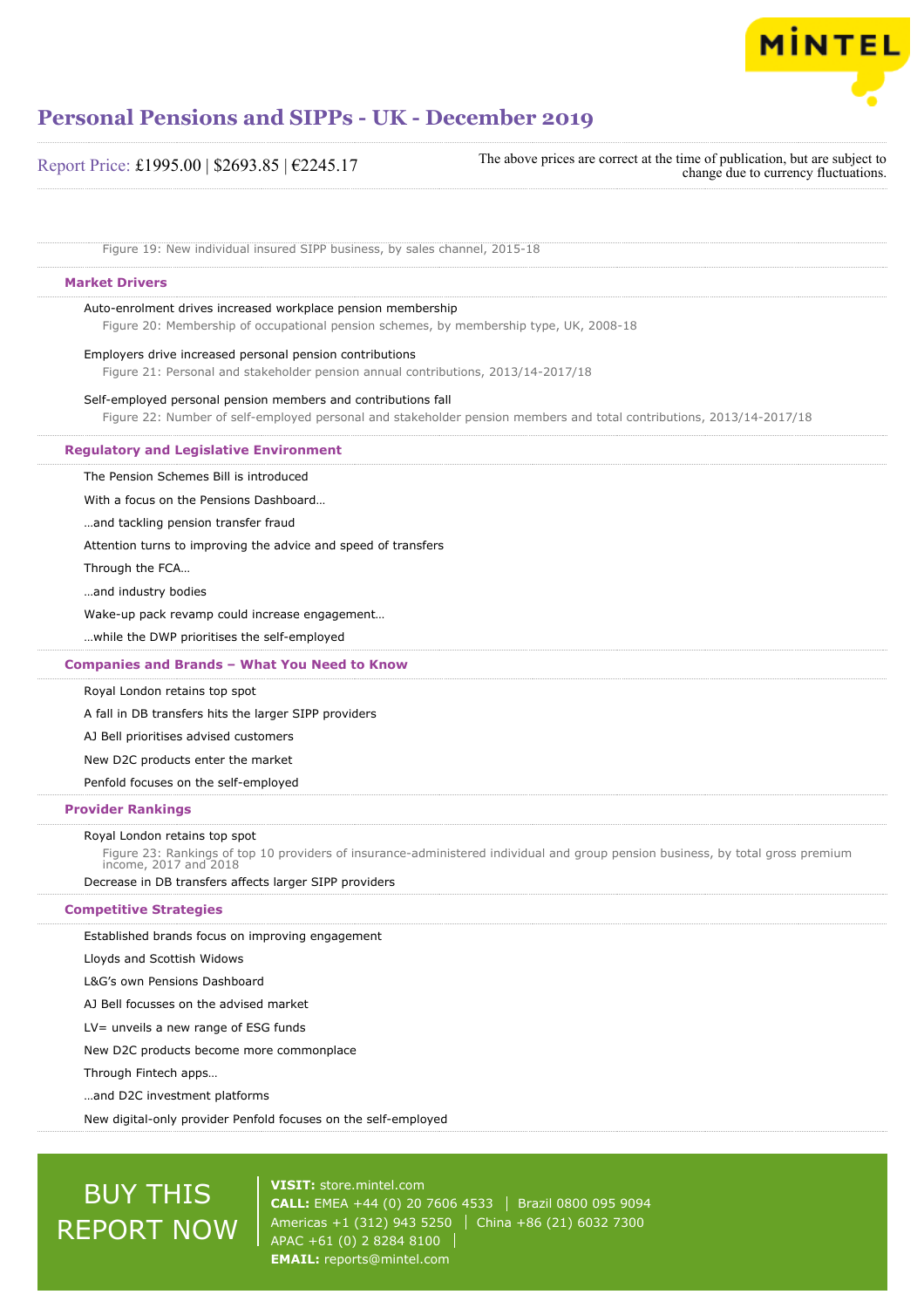

| Report Price: £1995.00   \$2693.85   $€2245.17$ | The above prices are correct at the time of publication, but are subject to<br>change due to currency fluctuations. |
|-------------------------------------------------|---------------------------------------------------------------------------------------------------------------------|
|-------------------------------------------------|---------------------------------------------------------------------------------------------------------------------|

Figure 19: New individual insured SIPP business, by sales channel, 2015-18

# **Market Drivers**

Auto-enrolment drives increased workplace pension membership

Figure 20: Membership of occupational pension schemes, by membership type, UK, 2008-18

# Employers drive increased personal pension contributions

Figure 21: Personal and stakeholder pension annual contributions, 2013/14-2017/18

# Self-employed personal pension members and contributions fall

Figure 22: Number of self-employed personal and stakeholder pension members and total contributions, 2013/14-2017/18

#### **Regulatory and Legislative Environment**

The Pension Schemes Bill is introduced

With a focus on the Pensions Dashboard…

…and tackling pension transfer fraud

Attention turns to improving the advice and speed of transfers

Through the FCA…

…and industry bodies

Wake-up pack revamp could increase engagement…

…while the DWP prioritises the self-employed

# **Companies and Brands – What You Need to Know**

Royal London retains top spot

A fall in DB transfers hits the larger SIPP providers

AJ Bell prioritises advised customers

New D2C products enter the market

Penfold focuses on the self-employed

### **Provider Rankings**

#### Royal London retains top spot

Figure 23: Rankings of top 10 providers of insurance-administered individual and group pension business, by total gross premium income, 2017 and 2018

Decrease in DB transfers affects larger SIPP providers

# **Competitive Strategies**

Established brands focus on improving engagement

Lloyds and Scottish Widows

L&G's own Pensions Dashboard

AJ Bell focusses on the advised market

LV= unveils a new range of ESG funds

New D2C products become more commonplace

Through Fintech apps…

…and D2C investment platforms

New digital-only provider Penfold focuses on the self-employed

# BUY THIS REPORT NOW

**VISIT:** [store.mintel.com](/reports.mintel.com//display/store/921354/) **CALL:** EMEA +44 (0) 20 7606 4533 Brazil 0800 095 9094 Americas +1 (312) 943 5250 | China +86 (21) 6032 7300 APAC +61 (0) 2 8284 8100 **EMAIL:** [reports@mintel.com](mailto:reports@mintel.com)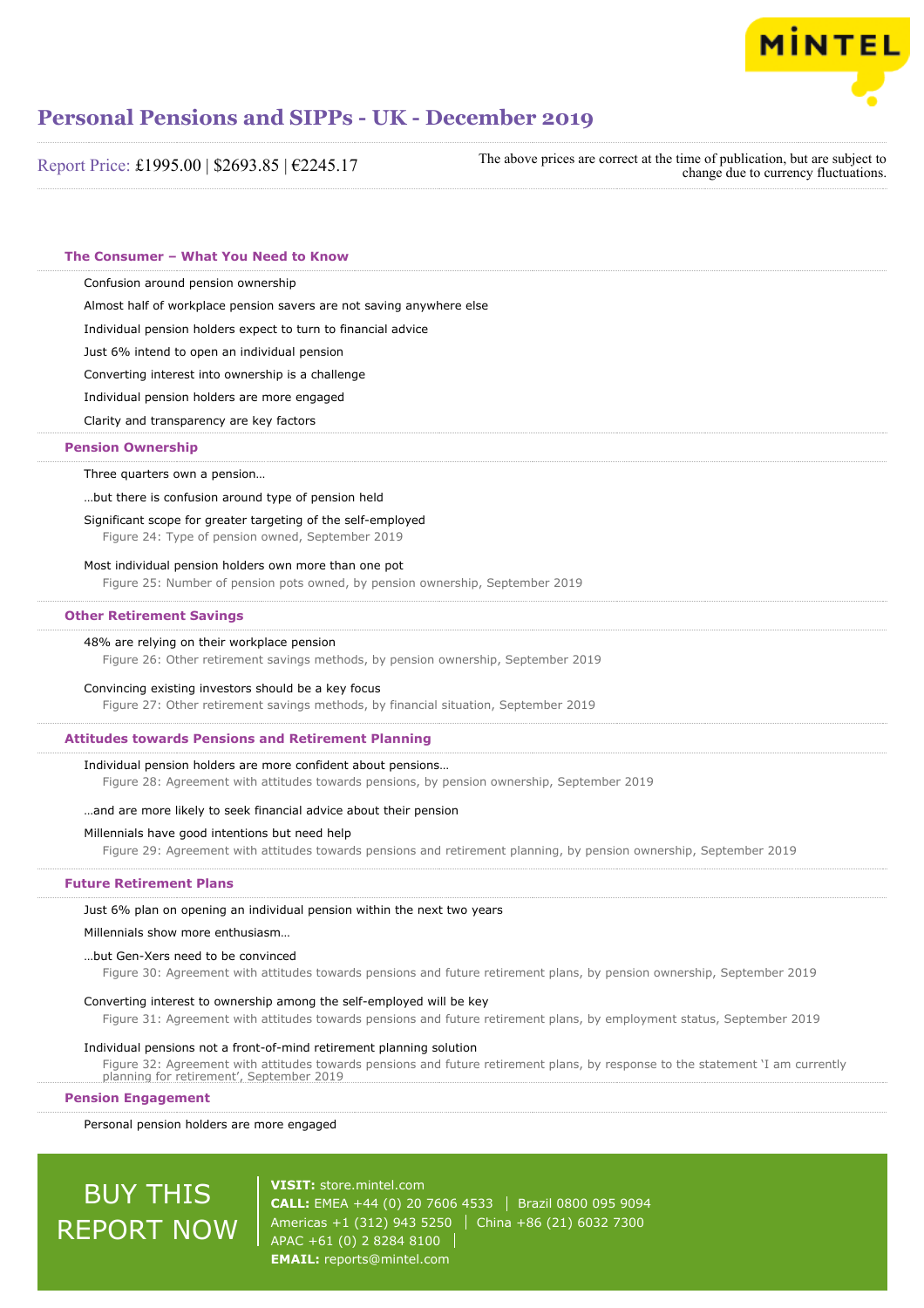

| Report Price: £1995.00   \$2693.85   €2245.17 | The above prices are correct at the time of publication, but are subject to<br>change due to currency fluctuations. |
|-----------------------------------------------|---------------------------------------------------------------------------------------------------------------------|
|-----------------------------------------------|---------------------------------------------------------------------------------------------------------------------|

# **The Consumer – What You Need to Know**

Confusion around pension ownership

Almost half of workplace pension savers are not saving anywhere else

Individual pension holders expect to turn to financial advice

Just 6% intend to open an individual pension

Converting interest into ownership is a challenge

Individual pension holders are more engaged

Clarity and transparency are key factors

# **Pension Ownership**

Three quarters own a pension…

…but there is confusion around type of pension held

Significant scope for greater targeting of the self-employed

Figure 24: Type of pension owned, September 2019

#### Most individual pension holders own more than one pot

Figure 25: Number of pension pots owned, by pension ownership, September 2019

#### **Other Retirement Savings**

# 48% are relying on their workplace pension

Figure 26: Other retirement savings methods, by pension ownership, September 2019

Convincing existing investors should be a key focus

Figure 27: Other retirement savings methods, by financial situation, September 2019

## **Attitudes towards Pensions and Retirement Planning**

#### Individual pension holders are more confident about pensions…

Figure 28: Agreement with attitudes towards pensions, by pension ownership, September 2019

#### …and are more likely to seek financial advice about their pension

#### Millennials have good intentions but need help

Figure 29: Agreement with attitudes towards pensions and retirement planning, by pension ownership, September 2019

## **Future Retirement Plans**

Just 6% plan on opening an individual pension within the next two years

#### Millennials show more enthusiasm…

### …but Gen-Xers need to be convinced

Figure 30: Agreement with attitudes towards pensions and future retirement plans, by pension ownership, September 2019

## Converting interest to ownership among the self-employed will be key

Figure 31: Agreement with attitudes towards pensions and future retirement plans, by employment status, September 2019

# Individual pensions not a front-of-mind retirement planning solution

Figure 32: Agreement with attitudes towards pensions and future retirement plans, by response to the statement 'I am currently planning for retirement', September 2019

# **Pension Engagement**

Personal pension holders are more engaged

# BUY THIS REPORT NOW

**VISIT:** [store.mintel.com](/reports.mintel.com//display/store/921354/) **CALL:** EMEA +44 (0) 20 7606 4533 Brazil 0800 095 9094 Americas +1 (312) 943 5250 | China +86 (21) 6032 7300 APAC +61 (0) 2 8284 8100 **EMAIL:** [reports@mintel.com](mailto:reports@mintel.com)